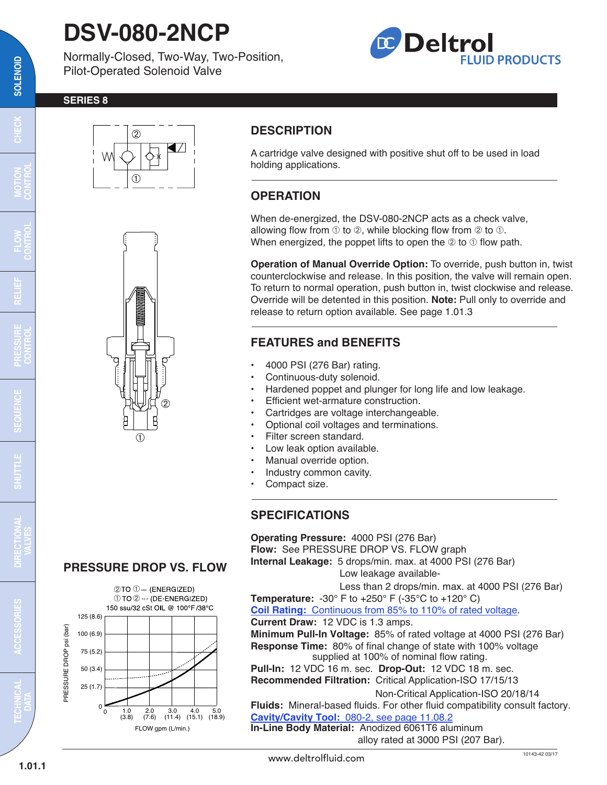# **DSV-080-2NCP**

Normally-Closed, Two-Way, Two-Position, Pilot-Operated Solenoid Valve

## **Deltrol FLUID PRODUCTS**

#### **SERIES 8**





### **DESCRIPTION**

A cartridge valve designed with positive shut off to be used in load holding applications.

### **OPERATION**

When de-energized, the DSV-080-2NCP acts as a check valve, allowing flow from  $\odot$  to  $\oslash$ , while blocking flow from  $\oslash$  to  $\odot$ . When energized, the poppet lifts to open the  $\circledcirc$  to  $\circledcirc$  flow path.

**Operation of Manual Override Option:** To override, push button in, twist counterclockwise and release. In this position, the valve will remain open. To return to normal operation, push button in, twist clockwise and release. Override will be detented in this position. **Note:** Pull only to override and release to return option available. See page 1.01.3

#### **FEATURES and BENEFITS**

- 4000 PSI (276 Bar) rating.
- Continuous-duty solenoid.
- Hardened poppet and plunger for long life and low leakage.
- Efficient wet-armature construction.
- Cartridges are voltage interchangeable.
- Optional coil voltages and terminations.
- Filter screen standard.
- Low leak option available.
- Manual override option.
- Industry common cavity.
- Compact size.

#### **SPECIFICATIONS**

**Operating Pressure:** 4000 PSI (276 Bar) **Flow:** See PRESSURE DROP VS. FLOW graph **Internal Leakage:** 5 drops/min. max. at 4000 PSI (276 Bar)

Low leakage available-

Less than 2 drops/min. max. at 4000 PSI (276 Bar)

**Temperature:** -30° F to +250° F (-35°C to +120° C)

**Coil Rating:** [Continuous from 85% to 110% of rated voltage.](http://www.deltrolfluid.com/sites/default/files/cartridge/Series-8%20Coils_Complete.pdf)

**Current Draw:** 12 VDC is 1.3 amps.

**Minimum Pull-In Voltage:** 85% of rated voltage at 4000 PSI (276 Bar) **Response Time:** 80% of final change of state with 100% voltage supplied at 100% of nominal flow rating.

**Pull-In:** 12 VDC 16 m. sec. **Drop-Out:** 12 VDC 18 m. sec. **Recommended Filtration:** Critical Application-ISO 17/15/13

Non-Critical Application-ISO 20/18/14

**Fluids:** Mineral-based fluids. For other fluid compatibility consult factory. **Cavity/Cavity Tool:** [080-2, see page 11.08.2](http://www.deltrolfluid.com/sites/default/files/cartridge/080-2_Cavity.pdf)

**In-Line Body Material:** Anodized 6061T6 aluminum alloy rated at 3000 PSI (207 Bar).

#### **PRESSURE DROP VS. FLOW**



 $\overline{\mathbf{c}}$ 

**MOTION CONTROL**

**RELIEF**

**FLOW CONTROL**

**PRESSURE CONTROL**

œ

**SEQUENCE**

**UDES** 

**SHUTTLE DIRECTIONAL**

**VALVES**

**TECHNICAL DATA**

**ACCESSORIES**